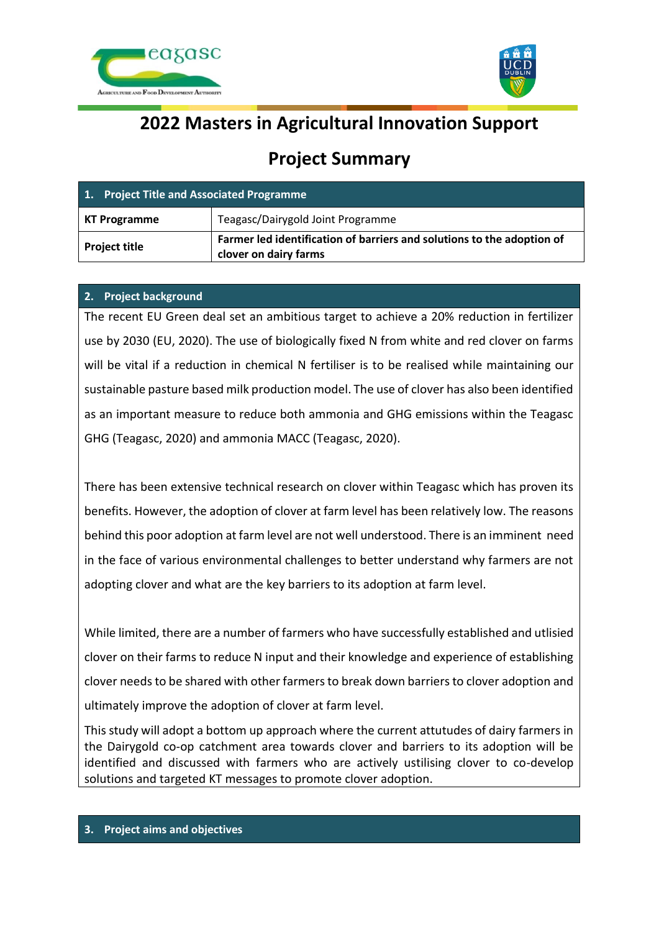



# **2022 Masters in Agricultural Innovation Support**

# **Project Summary**

| 1. Project Title and Associated Programme |                                                                                                 |
|-------------------------------------------|-------------------------------------------------------------------------------------------------|
| KT Programme                              | Teagasc/Dairygold Joint Programme                                                               |
| <b>Project title</b>                      | Farmer led identification of barriers and solutions to the adoption of<br>clover on dairy farms |

# **2. Project background**

The recent EU Green deal set an ambitious target to achieve a 20% reduction in fertilizer use by 2030 (EU, 2020). The use of biologically fixed N from white and red clover on farms will be vital if a reduction in chemical N fertiliser is to be realised while maintaining our sustainable pasture based milk production model. The use of clover has also been identified as an important measure to reduce both ammonia and GHG emissions within the Teagasc GHG (Teagasc, 2020) and ammonia MACC (Teagasc, 2020).

There has been extensive technical research on clover within Teagasc which has proven its benefits. However, the adoption of clover at farm level has been relatively low. The reasons behind this poor adoption at farm level are not well understood. There is an imminent need in the face of various environmental challenges to better understand why farmers are not adopting clover and what are the key barriers to its adoption at farm level.

While limited, there are a number of farmers who have successfully established and utlisied clover on their farms to reduce N input and their knowledge and experience of establishing clover needs to be shared with other farmers to break down barriers to clover adoption and ultimately improve the adoption of clover at farm level.

This study will adopt a bottom up approach where the current attutudes of dairy farmers in the Dairygold co-op catchment area towards clover and barriers to its adoption will be identified and discussed with farmers who are actively ustilising clover to co-develop solutions and targeted KT messages to promote clover adoption.